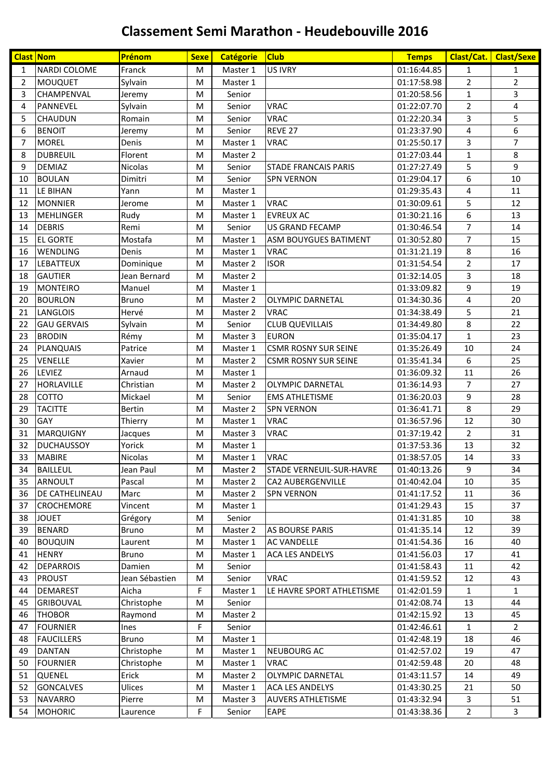| <b>Clast Nom</b> |                       | Prénom         | <b>Sexe</b> | <b>Catégorie</b> | <b>Club</b>                     | <b>Temps</b> | Clast/Cat.     | <b>Clast/Sexe</b> |
|------------------|-----------------------|----------------|-------------|------------------|---------------------------------|--------------|----------------|-------------------|
| $\mathbf{1}$     | NARDI COLOME          | Franck         | M           | Master 1         | US IVRY                         | 01:16:44.85  | $\mathbf{1}$   | 1                 |
| $\overline{2}$   | <b>MOUQUET</b>        | Sylvain        | M           | Master 1         |                                 | 01:17:58.98  | $\overline{2}$ | $\overline{2}$    |
| 3                | CHAMPENVAL            | Jeremy         | M           | Senior           |                                 | 01:20:58.56  | $\mathbf{1}$   | 3                 |
| 4                | PANNEVEL              | Sylvain        | M           | Senior           | <b>VRAC</b>                     | 01:22:07.70  | $\overline{2}$ | 4                 |
| 5                | <b>CHAUDUN</b>        | Romain         | M           | Senior           | <b>VRAC</b>                     | 01:22:20.34  | 3              | 5                 |
| 6                | <b>BENOIT</b>         | Jeremy         | M           | Senior           | REVE 27                         | 01:23:37.90  | 4              | 6                 |
| 7                | <b>MOREL</b>          | Denis          | M           | Master 1         | <b>VRAC</b>                     | 01:25:50.17  | 3              | 7                 |
| 8                | <b>DUBREUIL</b>       | Florent        | M           | Master 2         |                                 | 01:27:03.44  | $\mathbf{1}$   | 8                 |
| 9                | <b>DEMIAZ</b>         | <b>Nicolas</b> | M           | Senior           | <b>STADE FRANCAIS PARIS</b>     | 01:27:27.49  | 5              | 9                 |
| 10               | <b>BOULAN</b>         | Dimitri        | M           | Senior           | <b>SPN VERNON</b>               | 01:29:04.17  | 6              | 10                |
| 11               | LE BIHAN              | Yann           | M           | Master 1         |                                 | 01:29:35.43  | 4              | 11                |
| 12               | <b>MONNIER</b>        | Jerome         | M           | Master 1         | <b>VRAC</b>                     | 01:30:09.61  | 5              | 12                |
| 13               | <b>MEHLINGER</b>      | Rudy           | M           | Master 1         | <b>EVREUX AC</b>                | 01:30:21.16  | 6              | 13                |
| 14               | <b>DEBRIS</b>         | Remi           | M           | Senior           | <b>US GRAND FECAMP</b>          | 01:30:46.54  | $\overline{7}$ | 14                |
| 15               | <b>EL GORTE</b>       | Mostafa        | M           | Master 1         | <b>ASM BOUYGUES BATIMENT</b>    | 01:30:52.80  | $\overline{7}$ | 15                |
| 16               | <b>WENDLING</b>       | Denis          | M           | Master 1         | <b>VRAC</b>                     | 01:31:21.19  | 8              | 16                |
| 17               | <b>LEBATTEUX</b>      | Dominique      | M           | Master 2         | <b>ISOR</b>                     | 01:31:54.54  | $\overline{2}$ | 17                |
| 18               | <b>GAUTIER</b>        | Jean Bernard   | M           | Master 2         |                                 | 01:32:14.05  | 3              | 18                |
| 19               | <b>MONTEIRO</b>       | Manuel         | M           | Master 1         |                                 | 01:33:09.82  | 9              | 19                |
| 20               | <b>BOURLON</b>        | <b>Bruno</b>   | M           | Master 2         | <b>OLYMPIC DARNETAL</b>         | 01:34:30.36  | 4              | 20                |
| 21               | <b>LANGLOIS</b>       | Hervé          | M           | Master 2         | <b>VRAC</b>                     | 01:34:38.49  | 5              | 21                |
| 22               | <b>GAU GERVAIS</b>    | Sylvain        | M           | Senior           | <b>CLUB QUEVILLAIS</b>          | 01:34:49.80  | 8              | 22                |
| 23               | <b>BRODIN</b>         | Rémy           | M           | Master 3         | <b>EURON</b>                    | 01:35:04.17  | $\mathbf{1}$   | 23                |
| 24               | PLANQUAIS             | Patrice        | M           | Master 1         | <b>CSMR ROSNY SUR SEINE</b>     | 01:35:26.49  | 10             | 24                |
| 25               | VENELLE               | Xavier         | M           | Master 2         | <b>CSMR ROSNY SUR SEINE</b>     | 01:35:41.34  | 6              | 25                |
| 26               | <b>LEVIEZ</b>         | Arnaud         | M           | Master 1         |                                 | 01:36:09.32  | 11             | 26                |
| 27               | <b>HORLAVILLE</b>     | Christian      | M           | Master 2         | <b>OLYMPIC DARNETAL</b>         | 01:36:14.93  | $\overline{7}$ | 27                |
| 28               | <b>COTTO</b>          | Mickael        | M           | Senior           | <b>EMS ATHLETISME</b>           | 01:36:20.03  | 9              | 28                |
| 29               | <b>TACITTE</b>        | <b>Bertin</b>  | M           | Master 2         | <b>SPN VERNON</b>               | 01:36:41.71  | 8              | 29                |
| 30               | <b>GAY</b>            | Thierry        | M           | Master 1         | <b>VRAC</b>                     | 01:36:57.96  | 12             | 30                |
| 31               | <b>MARQUIGNY</b>      | Jacques        | M           | Master 3         | <b>VRAC</b>                     | 01:37:19.42  | $\overline{2}$ | 31                |
| 32               | <b>DUCHAUSSOY</b>     | Yorick         | M           | Master 1         |                                 | 01:37:53.36  | 13             | 32                |
| 33               | <b>MABIRE</b>         | <b>Nicolas</b> | M           | Master 1         | <b>VRAC</b>                     | 01:38:57.05  | 14             | 33                |
| 34               | <b>BAILLEUL</b>       | Jean Paul      | M           | Master 2         | <b>STADE VERNEUIL-SUR-HAVRE</b> | 01:40:13.26  | 9              | 34                |
| 35               | <b>ARNOULT</b>        | Pascal         | M           | Master 2         | CA2 AUBERGENVILLE               | 01:40:42.04  | 10             | 35                |
| 36               | <b>DE CATHELINEAU</b> | Marc           | M           | Master 2         | <b>SPN VERNON</b>               | 01:41:17.52  | 11             | 36                |
| 37               | <b>CROCHEMORE</b>     | Vincent        | M           | Master 1         |                                 | 01:41:29.43  | 15             | 37                |
| 38               | <b>JOUET</b>          | Grégory        | M           | Senior           |                                 | 01:41:31.85  | 10             | 38                |
| 39               | <b>BENARD</b>         | Bruno          | M           | Master 2         | <b>AS BOURSE PARIS</b>          | 01:41:35.14  | 12             | 39                |
| 40               | <b>BOUQUIN</b>        | Laurent        | M           | Master 1         | AC VANDELLE                     | 01:41:54.36  | 16             | 40                |
| 41               | <b>HENRY</b>          | <b>Bruno</b>   | M           | Master 1         | <b>ACA LES ANDELYS</b>          | 01:41:56.03  | 17             | 41                |
| 42               | <b>DEPARROIS</b>      | Damien         | M           | Senior           |                                 | 01:41:58.43  | 11             | 42                |
| 43               | <b>PROUST</b>         | Jean Sébastien | M           | Senior           | <b>VRAC</b>                     | 01:41:59.52  | 12             | 43                |
| 44               | <b>DEMAREST</b>       | Aicha          | F           | Master 1         | LE HAVRE SPORT ATHLETISME       | 01:42:01.59  | $\mathbf{1}$   | $\mathbf{1}$      |
| 45               | <b>GRIBOUVAL</b>      | Christophe     | M           | Senior           |                                 | 01:42:08.74  | 13             | 44                |
| 46               | <b>THOBOR</b>         | Raymond        | M           | Master 2         |                                 | 01:42:15.92  | 13             | 45                |
| 47               | <b>FOURNIER</b>       | <b>Ines</b>    | F           | Senior           |                                 | 01:42:46.61  | 1              | 2                 |
| 48               | <b>FAUCILLERS</b>     | <b>Bruno</b>   | M           | Master 1         |                                 | 01:42:48.19  | 18             | 46                |
| 49               | <b>DANTAN</b>         | Christophe     | M           | Master 1         | <b>NEUBOURG AC</b>              | 01:42:57.02  | 19             | 47                |
| 50               | <b>FOURNIER</b>       | Christophe     | M           | Master 1         | <b>VRAC</b>                     | 01:42:59.48  | 20             | 48                |
| 51               | <b>QUENEL</b>         | Erick          | M           | Master 2         | <b>OLYMPIC DARNETAL</b>         | 01:43:11.57  | 14             | 49                |
| 52               | <b>GONCALVES</b>      | Ulices         | M           | Master 1         | <b>ACA LES ANDELYS</b>          | 01:43:30.25  | 21             | 50                |
| 53               | <b>NAVARRO</b>        | Pierre         | M           | Master 3         | <b>AUVERS ATHLETISME</b>        | 01:43:32.94  | 3              | 51                |
| 54               | <b>MOHORIC</b>        | Laurence       | F           | Senior           | EAPE                            | 01:43:38.36  | $\overline{2}$ | 3                 |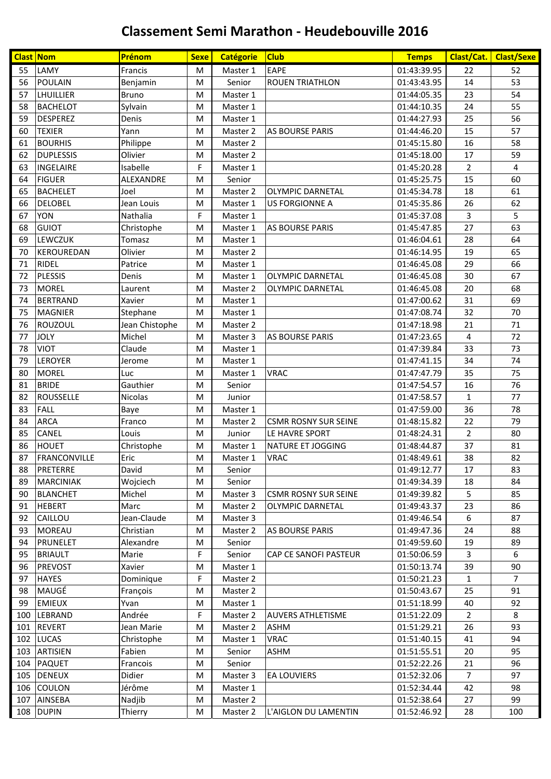| <b>Clast Nom</b> |                   | Prénom         | <b>Sexe</b> | <b>Catégorie</b> | <b>Club</b>                 | <b>Temps</b> | <b>Clast/Cat.</b> | <b>Clast/Sexe</b> |
|------------------|-------------------|----------------|-------------|------------------|-----------------------------|--------------|-------------------|-------------------|
| 55               | LAMY              | Francis        | M           | Master 1         | <b>EAPE</b>                 | 01:43:39.95  | 22                | 52                |
| 56               | <b>POULAIN</b>    | Benjamin       | M           | Senior           | <b>ROUEN TRIATHLON</b>      | 01:43:43.95  | 14                | 53                |
| 57               | LHUILLIER         | <b>Bruno</b>   | M           | Master 1         |                             | 01:44:05.35  | 23                | 54                |
| 58               | <b>BACHELOT</b>   | Sylvain        | ${\sf M}$   | Master 1         |                             | 01:44:10.35  | 24                | 55                |
| 59               | <b>DESPEREZ</b>   | Denis          | M           | Master 1         |                             | 01:44:27.93  | 25                | 56                |
| 60               | <b>TEXIER</b>     | Yann           | M           | Master 2         | <b>AS BOURSE PARIS</b>      | 01:44:46.20  | 15                | 57                |
| 61               | <b>BOURHIS</b>    | Philippe       | ${\sf M}$   | Master 2         |                             | 01:45:15.80  | 16                | 58                |
| 62               | <b>DUPLESSIS</b>  | Olivier        | M           | Master 2         |                             | 01:45:18.00  | 17                | 59                |
| 63               | <b>INGELAIRE</b>  | Isabelle       | F           | Master 1         |                             | 01:45:20.28  | $\overline{2}$    | 4                 |
| 64               | <b>FIGUER</b>     | ALEXANDRE      | M           | Senior           |                             | 01:45:25.75  | 15                | 60                |
| 65               | <b>BACHELET</b>   | Joel           | M           | Master 2         | <b>OLYMPIC DARNETAL</b>     | 01:45:34.78  | 18                | 61                |
| 66               | <b>DELOBEL</b>    | Jean Louis     | M           | Master 1         | <b>US FORGIONNE A</b>       | 01:45:35.86  | 26                | 62                |
| 67               | YON               | Nathalia       | F           | Master 1         |                             | 01:45:37.08  | 3                 | 5                 |
| 68               | <b>GUIOT</b>      | Christophe     | M           | Master 1         | <b>AS BOURSE PARIS</b>      | 01:45:47.85  | 27                | 63                |
| 69               | <b>LEWCZUK</b>    | Tomasz         | M           | Master 1         |                             | 01:46:04.61  | 28                | 64                |
| 70               | <b>KEROUREDAN</b> | Olivier        | M           | Master 2         |                             | 01:46:14.95  | 19                | 65                |
| 71               | RIDEL             | Patrice        | M           | Master 1         |                             | 01:46:45.08  | 29                | 66                |
| 72               | <b>PLESSIS</b>    | Denis          | M           | Master 1         | <b>OLYMPIC DARNETAL</b>     | 01:46:45.08  | 30                | 67                |
| 73               | <b>MOREL</b>      | Laurent        | M           | Master 2         | <b>OLYMPIC DARNETAL</b>     | 01:46:45.08  | 20                | 68                |
| 74               | <b>BERTRAND</b>   | Xavier         | M           | Master 1         |                             | 01:47:00.62  | 31                | 69                |
| 75               | <b>MAGNIER</b>    | Stephane       | M           | Master 1         |                             | 01:47:08.74  | 32                | 70                |
| 76               | ROUZOUL           | Jean Chistophe | M           | Master 2         |                             | 01:47:18.98  | 21                | 71                |
| 77               | <b>JOLY</b>       | Michel         | M           | Master 3         | <b>AS BOURSE PARIS</b>      | 01:47:23.65  | 4                 | 72                |
| 78               | <b>VIOT</b>       | Claude         | M           | Master 1         |                             | 01:47:39.84  | 33                | 73                |
| 79               | LEROYER           | Jerome         | M           | Master 1         |                             | 01:47:41.15  | 34                | 74                |
| 80               | <b>MOREL</b>      | Luc            | M           | Master 1         | <b>VRAC</b>                 | 01:47:47.79  | 35                | 75                |
| 81               | <b>BRIDE</b>      | Gauthier       | M           | Senior           |                             | 01:47:54.57  | 16                | 76                |
| 82               | <b>ROUSSELLE</b>  | Nicolas        | M           | Junior           |                             | 01:47:58.57  | $\mathbf{1}$      | 77                |
| 83               | <b>FALL</b>       | Baye           | M           | Master 1         |                             | 01:47:59.00  | 36                | 78                |
| 84               | <b>ARCA</b>       | Franco         | M           | Master 2         | <b>CSMR ROSNY SUR SEINE</b> | 01:48:15.82  | 22                | 79                |
| 85               | CANEL             | Louis          | M           | Junior           | LE HAVRE SPORT              | 01:48:24.31  | $\overline{2}$    | 80                |
| 86               | <b>HOUET</b>      | Christophe     | M           | Master 1         | NATURE ET JOGGING           | 01:48:44.87  | 37                | 81                |
| 87               | FRANCONVILLE      | Eric           | M           | Master 1         | <b>VRAC</b>                 | 01:48:49.61  | 38                | 82                |
| 88               | <b>PRETERRE</b>   | David          | M           | Senior           |                             | 01:49:12.77  | 17                | 83                |
| 89               | <b>MARCINIAK</b>  | Wojciech       | M           | Senior           |                             | 01:49:34.39  | 18                | 84                |
| 90               | <b>BLANCHET</b>   | Michel         | M           | Master 3         | <b>CSMR ROSNY SUR SEINE</b> | 01:49:39.82  | 5                 | 85                |
| 91               | <b>HEBERT</b>     | Marc           | M           | Master 2         | <b>OLYMPIC DARNETAL</b>     | 01:49:43.37  | 23                | 86                |
| 92               | CAILLOU           | Jean-Claude    | M           | Master 3         |                             | 01:49:46.54  | 6                 | 87                |
| 93               | <b>MOREAU</b>     | Christian      | M           | Master 2         | <b>AS BOURSE PARIS</b>      | 01:49:47.36  | 24                | 88                |
| 94               | PRUNELET          | Alexandre      | M           | Senior           |                             | 01:49:59.60  | 19                | 89                |
| 95               | <b>BRIAULT</b>    | Marie          | F           | Senior           | CAP CE SANOFI PASTEUR       | 01:50:06.59  | 3                 | 6                 |
| 96               | <b>PREVOST</b>    | Xavier         | M           | Master 1         |                             | 01:50:13.74  | 39                | 90                |
| 97               | <b>HAYES</b>      | Dominique      | F           | Master 2         |                             | 01:50:21.23  | $\mathbf{1}$      | $\overline{7}$    |
| 98               | MAUGÉ             | François       | M           | Master 2         |                             | 01:50:43.67  | 25                | 91                |
| 99               | <b>EMIEUX</b>     | Yvan           | M           | Master 1         |                             | 01:51:18.99  | 40                | 92                |
| 100              | LEBRAND           | Andrée         | F           | Master 2         | <b>AUVERS ATHLETISME</b>    | 01:51:22.09  | $\overline{2}$    | 8                 |
| 101              | <b>REVERT</b>     | Jean Marie     | M           | Master 2         | <b>ASHM</b>                 | 01:51:29.21  | 26                | 93                |
| 102              | LUCAS             | Christophe     | M           | Master 1         | <b>VRAC</b>                 | 01:51:40.15  | 41                | 94                |
|                  | 103 ARTISIEN      | Fabien         | M           | Senior           | <b>ASHM</b>                 | 01:51:55.51  | 20                | 95                |
|                  | 104 PAQUET        | Francois       | M           | Senior           |                             | 01:52:22.26  | 21                | 96                |
| 105              | <b>DENEUX</b>     | Didier         | M           | Master 3         | <b>EA LOUVIERS</b>          | 01:52:32.06  | $\overline{7}$    | 97                |
| 106              | <b>COULON</b>     | Jérôme         | M           | Master 1         |                             | 01:52:34.44  | 42                | 98                |
| 107              | <b>AINSEBA</b>    | Nadjib         | M           | Master 2         |                             | 01:52:38.64  | 27                | 99                |
|                  | 108 DUPIN         | Thierry        | M           | Master 2         | L'AIGLON DU LAMENTIN        | 01:52:46.92  | 28                | 100               |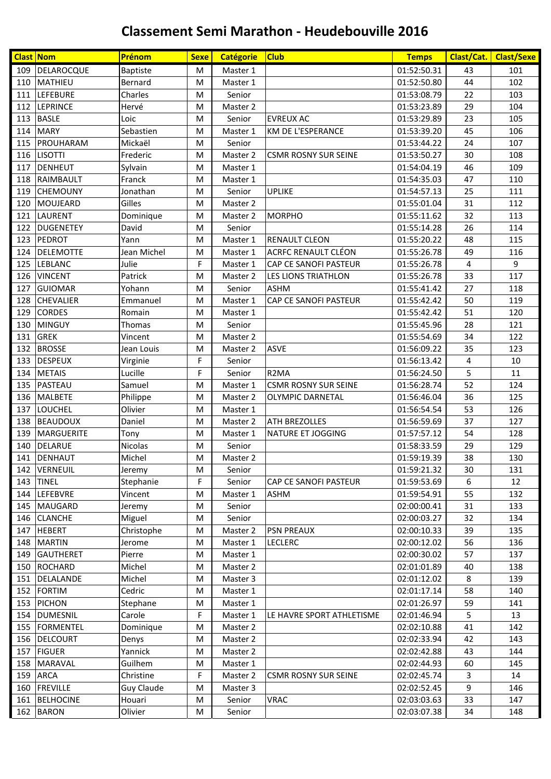| <b>Clast Nom</b> |                  | Prénom          | <b>Sexe</b> | <b>Catégorie</b> | <b>Club</b>                 | <b>Temps</b> | Clast/Cat.     | <b>Clast/Sexe</b> |
|------------------|------------------|-----------------|-------------|------------------|-----------------------------|--------------|----------------|-------------------|
|                  | 109 DELAROCQUE   | <b>Baptiste</b> | М           | Master 1         |                             | 01:52:50.31  | 43             | 101               |
| 110              | MATHIEU          | Bernard         | M           | Master 1         |                             | 01:52:50.80  | 44             | 102               |
| 111              | <b>LEFEBURE</b>  | Charles         | M           | Senior           |                             | 01:53:08.79  | 22             | 103               |
| 112              | <b>LEPRINCE</b>  | Hervé           | M           | Master 2         |                             | 01:53:23.89  | 29             | 104               |
| 113              | <b>BASLE</b>     | Loic            | M           | Senior           | <b>EVREUX AC</b>            | 01:53:29.89  | 23             | 105               |
|                  | 114 MARY         | Sebastien       | M           | Master 1         | KM DE L'ESPERANCE           | 01:53:39.20  | 45             | 106               |
|                  | 115 PROUHARAM    | Mickaël         | M           | Senior           |                             | 01:53:44.22  | 24             | 107               |
|                  | 116 LISOTTI      | Frederic        | M           | Master 2         | <b>CSMR ROSNY SUR SEINE</b> | 01:53:50.27  | 30             | 108               |
| 117              | DENHEUT          | Sylvain         | M           | Master 1         |                             | 01:54:04.19  | 46             | 109               |
|                  | 118 RAIMBAULT    | Franck          | M           | Master 1         |                             | 01:54:35.03  | 47             | 110               |
| 119              | <b>CHEMOUNY</b>  | Jonathan        | M           | Senior           | <b>UPLIKE</b>               | 01:54:57.13  | 25             | 111               |
| 120              | MOUJEARD         | Gilles          | M           | Master 2         |                             | 01:55:01.04  | 31             | 112               |
| 121              | <b>LAURENT</b>   | Dominique       | M           | Master 2         | <b>MORPHO</b>               | 01:55:11.62  | 32             | 113               |
| 122              | <b>DUGENETEY</b> | David           | M           | Senior           |                             | 01:55:14.28  | 26             | 114               |
| 123              | PEDROT           | Yann            | M           | Master 1         | <b>RENAULT CLEON</b>        | 01:55:20.22  | 48             | 115               |
| 124              | DELEMOTTE        | Jean Michel     | M           | Master 1         | <b>ACRFC RENAULT CLÉON</b>  | 01:55:26.78  | 49             | 116               |
|                  | 125 LEBLANC      | Julie           | F           | Master 1         | CAP CE SANOFI PASTEUR       | 01:55:26.78  | $\overline{4}$ | 9                 |
| 126              | <b>VINCENT</b>   | Patrick         | M           | Master 2         | LES LIONS TRIATHLON         | 01:55:26.78  | 33             | 117               |
| 127              | <b>GUIOMAR</b>   | Yohann          | M           | Senior           | <b>ASHM</b>                 | 01:55:41.42  | 27             | 118               |
| 128              | <b>CHEVALIER</b> | Emmanuel        | M           | Master 1         | CAP CE SANOFI PASTEUR       | 01:55:42.42  | 50             | 119               |
| 129              | <b>CORDES</b>    | Romain          | M           | Master 1         |                             | 01:55:42.42  | 51             | 120               |
| 130              | <b>MINGUY</b>    | Thomas          | M           | Senior           |                             | 01:55:45.96  | 28             | 121               |
| 131              | <b>GREK</b>      | Vincent         | M           | Master 2         |                             | 01:55:54.69  | 34             | 122               |
| 132              | <b>BROSSE</b>    | Jean Louis      | M           | Master 2         | <b>ASVE</b>                 | 01:56:09.22  | 35             | 123               |
| 133              | <b>DESPEUX</b>   | Virginie        | F           | Senior           |                             | 01:56:13.42  | 4              | 10                |
| 134              | <b>METAIS</b>    | Lucille         | F           | Senior           | R <sub>2</sub> MA           | 01:56:24.50  | 5              | 11                |
| 135              | PASTEAU          | Samuel          | M           | Master 1         | <b>CSMR ROSNY SUR SEINE</b> | 01:56:28.74  | 52             | 124               |
|                  | 136 MALBETE      | Philippe        | M           | Master 2         | <b>OLYMPIC DARNETAL</b>     | 01:56:46.04  | 36             | 125               |
| 137              | LOUCHEL          | Olivier         | M           | Master 1         |                             | 01:56:54.54  | 53             | 126               |
| 138              | <b>BEAUDOUX</b>  | Daniel          | M           | Master 2         | ATH BREZOLLES               | 01:56:59.69  | 37             | 127               |
| 139              | MARGUERITE       | Tony            | M           | Master 1         | NATURE ET JOGGING           | 01:57:57.12  | 54             | 128               |
| 140              | <b>DELARUE</b>   | Nicolas         | M           | Senior           |                             | 01:58:33.59  | 29             | 129               |
|                  | 141 DENHAUT      | Michel          | M           | Master 2         |                             | 01:59:19.39  | 38             | 130               |
|                  | 142 VERNEUIL     | Jeremy          | M           | Senior           |                             | 01:59:21.32  | 30             | 131               |
|                  | 143 TINEL        | Stephanie       | F           | Senior           | CAP CE SANOFI PASTEUR       | 01:59:53.69  | 6              | 12                |
|                  | 144 LEFEBVRE     | Vincent         | M           | Master 1         | ASHM                        | 01:59:54.91  | 55             | 132               |
|                  | 145 MAUGARD      | Jeremy          | M           | Senior           |                             | 02:00:00.41  | 31             | 133               |
|                  | 146 CLANCHE      | Miguel          | M           | Senior           |                             | 02:00:03.27  | 32             | 134               |
|                  | 147 HEBERT       | Christophe      | M           | Master 2         | <b>PSN PREAUX</b>           | 02:00:10.33  | 39             | 135               |
|                  | 148 MARTIN       | Jerome          | M           | Master 1         | <b>LECLERC</b>              | 02:00:12.02  | 56             | 136               |
| 149              | <b>GAUTHERET</b> | Pierre          | M           | Master 1         |                             | 02:00:30.02  | 57             | 137               |
|                  | 150 ROCHARD      | Michel          | M           | Master 2         |                             | 02:01:01.89  | 40             | 138               |
|                  | 151 DELALANDE    | Michel          | M           | Master 3         |                             | 02:01:12.02  | 8              | 139               |
|                  | 152 FORTIM       | Cedric          | M           | Master 1         |                             | 02:01:17.14  | 58             | 140               |
|                  | 153 PICHON       | Stephane        | M           | Master 1         |                             | 02:01:26.97  | 59             | 141               |
|                  | 154 DUMESNIL     | Carole          | F           | Master 1         | LE HAVRE SPORT ATHLETISME   | 02:01:46.94  | 5              | 13                |
|                  | 155 FORMENTEL    | Dominique       | M           | Master 2         |                             | 02:02:10.88  | 41             | 142               |
|                  | 156 DELCOURT     | Denys           | M           | Master 2         |                             | 02:02:33.94  | 42             | 143               |
| 157              | <b>FIGUER</b>    | Yannick         | M           | Master 2         |                             | 02:02:42.88  | 43             | 144               |
|                  | 158 MARAVAL      | Guilhem         | M           | Master 1         |                             | 02:02:44.93  | 60             | 145               |
|                  | 159 ARCA         | Christine       | F           | Master 2         | <b>CSMR ROSNY SUR SEINE</b> | 02:02:45.74  | 3              | 14                |
| 160              | <b>FREVILLE</b>  | Guy Claude      | M           | Master 3         |                             | 02:02:52.45  | 9              | 146               |
|                  | 161 BELHOCINE    | Houari          | M           | Senior           | <b>VRAC</b>                 | 02:03:03.63  | 33             | 147               |
|                  | 162 BARON        | Olivier         | M           | Senior           |                             | 02:03:07.38  | 34             | 148               |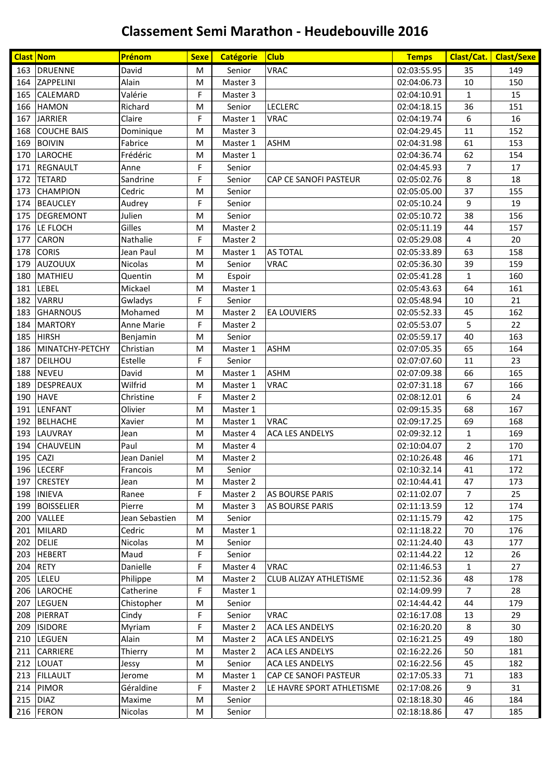| <b>Clast Nom</b> |                    | Prénom         | <b>Sexe</b> | <b>Catégorie</b> | <b>Club</b>                   | <b>Temps</b> | Clast/Cat.     | <b>Clast/Sexe</b> |
|------------------|--------------------|----------------|-------------|------------------|-------------------------------|--------------|----------------|-------------------|
|                  | 163 DRUENNE        | David          | M           | Senior           | <b>VRAC</b>                   | 02:03:55.95  | 35             | 149               |
| 164              | ZAPPELINI          | Alain          | M           | Master 3         |                               | 02:04:06.73  | $10\,$         | 150               |
| 165              | CALEMARD           | Valérie        | F           | Master 3         |                               | 02:04:10.91  | $\mathbf{1}$   | 15                |
| 166              | <b>HAMON</b>       | Richard        | M           | Senior           | <b>LECLERC</b>                | 02:04:18.15  | 36             | 151               |
| 167              | <b>JARRIER</b>     | Claire         | F           | Master 1         | <b>VRAC</b>                   | 02:04:19.74  | 6              | 16                |
| 168              | <b>COUCHE BAIS</b> | Dominique      | M           | Master 3         |                               | 02:04:29.45  | 11             | 152               |
| 169              | <b>BOIVIN</b>      | Fabrice        | M           | Master 1         | <b>ASHM</b>                   | 02:04:31.98  | 61             | 153               |
| 170              | <b>LAROCHE</b>     | Frédéric       | M           | Master 1         |                               | 02:04:36.74  | 62             | 154               |
| 171              | <b>REGNAULT</b>    | Anne           | F           | Senior           |                               | 02:04:45.93  | $\overline{7}$ | 17                |
| 172              | <b>TETARD</b>      | Sandrine       | F           | Senior           | <b>CAP CE SANOFI PASTEUR</b>  | 02:05:02.76  | 8              | 18                |
| 173              | <b>CHAMPION</b>    | Cedric         | M           | Senior           |                               | 02:05:05.00  | 37             | 155               |
| 174              | <b>BEAUCLEY</b>    | Audrey         | F           | Senior           |                               | 02:05:10.24  | 9              | 19                |
| 175              | <b>DEGREMONT</b>   | Julien         | M           | Senior           |                               | 02:05:10.72  | 38             | 156               |
| 176              | LE FLOCH           | Gilles         | M           | Master 2         |                               | 02:05:11.19  | 44             | 157               |
| 177              | <b>CARON</b>       | Nathalie       | F           | Master 2         |                               | 02:05:29.08  | 4              | 20                |
| 178              | <b>CORIS</b>       | Jean Paul      | M           | Master 1         | <b>AS TOTAL</b>               | 02:05:33.89  | 63             | 158               |
| 179              | AUZOUUX            | <b>Nicolas</b> | M           | Senior           | <b>VRAC</b>                   | 02:05:36.30  | 39             | 159               |
| 180              | MATHIEU            | Quentin        | M           | Espoir           |                               | 02:05:41.28  | $\mathbf{1}$   | 160               |
| 181              | LEBEL              | Mickael        | M           | Master 1         |                               | 02:05:43.63  | 64             | 161               |
| 182              | <b>VARRU</b>       | Gwladys        | F           | Senior           |                               | 02:05:48.94  | 10             | 21                |
| 183              | <b>GHARNOUS</b>    | Mohamed        | M           | Master 2         | <b>EA LOUVIERS</b>            | 02:05:52.33  | 45             | 162               |
| 184              | <b>MARTORY</b>     | Anne Marie     | F           | Master 2         |                               | 02:05:53.07  | 5              | 22                |
| 185              | <b>HIRSH</b>       | Benjamin       | M           | Senior           |                               | 02:05:59.17  | 40             | 163               |
| 186              | MINATCHY-PETCHY    | Christian      | M           | Master 1         | <b>ASHM</b>                   | 02:07:05.35  | 65             | 164               |
| 187              | DEILHOU            | Estelle        | F           | Senior           |                               | 02:07:07.60  | 11             | 23                |
| 188              | <b>NEVEU</b>       | David          | M           | Master 1         | <b>ASHM</b>                   | 02:07:09.38  | 66             | 165               |
| 189              | <b>DESPREAUX</b>   | Wilfrid        | M           | Master 1         | <b>VRAC</b>                   | 02:07:31.18  | 67             | 166               |
| 190              | <b>HAVE</b>        | Christine      | F           | Master 2         |                               | 02:08:12.01  | 6              | 24                |
| 191              | LENFANT            | Olivier        | M           | Master 1         |                               | 02:09:15.35  | 68             | 167               |
| 192              | <b>BELHACHE</b>    | Xavier         | M           | Master 1         | <b>VRAC</b>                   | 02:09:17.25  | 69             | 168               |
| 193              | <b>LAUVRAY</b>     | Jean           | M           | Master 4         | <b>ACA LES ANDELYS</b>        | 02:09:32.12  | $\mathbf{1}$   | 169               |
| 194              | <b>CHAUVELIN</b>   | Paul           | M           | Master 4         |                               | 02:10:04.07  | $\overline{2}$ | 170               |
|                  | 195 CAZI           | Jean Daniel    | M           | Master 2         |                               | 02:10:26.48  | 46             | 171               |
|                  | 196 LECERF         | Francois       | M           | Senior           |                               | 02:10:32.14  | 41             | 172               |
| 197              | <b>CRESTEY</b>     | Jean           | M           | Master 2         |                               | 02:10:44.41  | 47             | 173               |
| 198              | <b>INIEVA</b>      | Ranee          | F           | Master 2         | <b>AS BOURSE PARIS</b>        | 02:11:02.07  | 7              | 25                |
| 199              | <b>BOISSELIER</b>  | Pierre         | M           | Master 3         | <b>AS BOURSE PARIS</b>        | 02:11:13.59  | 12             | 174               |
| 200              | VALLEE             | Jean Sebastien | M           | Senior           |                               | 02:11:15.79  | 42             | 175               |
| 201              | MILARD             | Cedric         | M           | Master 1         |                               | 02:11:18.22  | 70             | 176               |
|                  | 202 DELIE          | Nicolas        | M           | Senior           |                               | 02:11:24.40  | 43             | 177               |
| 203              | <b>HEBERT</b>      | Maud           | F           | Senior           |                               | 02:11:44.22  | 12             | 26                |
| 204              | <b>RETY</b>        | Danielle       | F           | Master 4         | <b>VRAC</b>                   | 02:11:46.53  | 1              | 27                |
| 205              | LELEU              | Philippe       | M           | Master 2         | <b>CLUB ALIZAY ATHLETISME</b> | 02:11:52.36  | 48             | 178               |
| 206              | LAROCHE            | Catherine      | F           | Master 1         |                               | 02:14:09.99  | $\overline{7}$ | 28                |
| 207              | LEGUEN             | Chistopher     | M           | Senior           |                               | 02:14:44.42  | 44             | 179               |
| 208              | PIERRAT            | Cindy          | F           | Senior           | <b>VRAC</b>                   | 02:16:17.08  | 13             | 29                |
| 209              | <b>ISIDORE</b>     | Myriam         | F           | Master 2         | <b>ACA LES ANDELYS</b>        | 02:16:20.20  | 8              | 30                |
| 210              | <b>LEGUEN</b>      | Alain          | M           | Master 2         | <b>ACA LES ANDELYS</b>        | 02:16:21.25  | 49             | 180               |
| 211              | <b>CARRIERE</b>    | Thierry        | M           | Master 2         | <b>ACA LES ANDELYS</b>        | 02:16:22.26  | 50             | 181               |
|                  | 212 LOUAT          | Jessy          | M           | Senior           | <b>ACA LES ANDELYS</b>        | 02:16:22.56  | 45             | 182               |
| 213              | <b>FILLAULT</b>    | Jerome         | M           | Master 1         | CAP CE SANOFI PASTEUR         | 02:17:05.33  | 71             | 183               |
| 214              | <b>PIMOR</b>       | Géraldine      | F           | Master 2         | LE HAVRE SPORT ATHLETISME     | 02:17:08.26  | 9              | 31                |
| 215              | <b>DIAZ</b>        | Maxime         | M           | Senior           |                               | 02:18:18.30  | 46             | 184               |
|                  | 216 FERON          | Nicolas        | M           | Senior           |                               | 02:18:18.86  | 47             | 185               |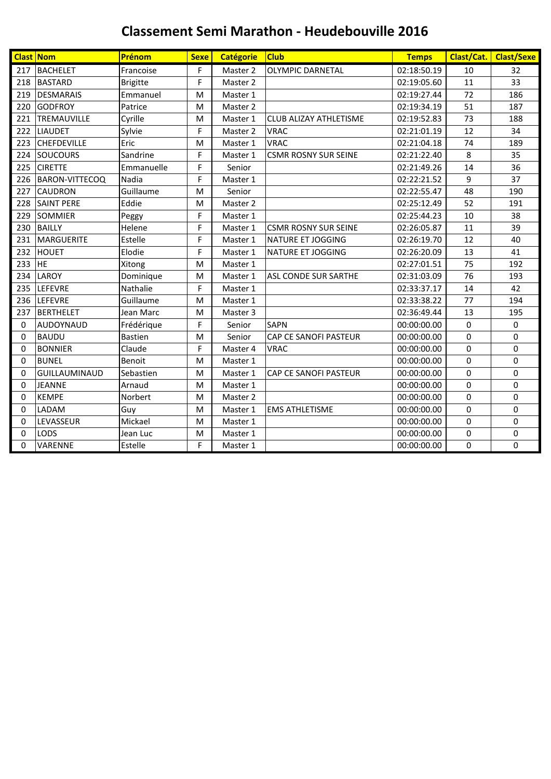|          | <b>Clast Nom</b>      | Prénom          | <b>Sexe</b> | <b>Catégorie</b> | <b>Club</b>                   | <b>Temps</b> |          | Clast/Cat. Clast/Sexe |
|----------|-----------------------|-----------------|-------------|------------------|-------------------------------|--------------|----------|-----------------------|
| 217      | <b>BACHELET</b>       | Francoise       | F           | Master 2         | <b>OLYMPIC DARNETAL</b>       | 02:18:50.19  | 10       | 32                    |
| 218      | <b>BASTARD</b>        | <b>Brigitte</b> | F           | Master 2         |                               | 02:19:05.60  | 11       | 33                    |
| 219      | <b>DESMARAIS</b>      | Emmanuel        | M           | Master 1         |                               | 02:19:27.44  | 72       | 186                   |
| 220      | <b>GODFROY</b>        | Patrice         | M           | Master 2         |                               | 02:19:34.19  | 51       | 187                   |
| 221      | TREMAUVILLE           | Cyrille         | M           | Master 1         | <b>CLUB ALIZAY ATHLETISME</b> | 02:19:52.83  | 73       | 188                   |
| 222      | <b>LIAUDET</b>        | Sylvie          | F           | Master 2         | <b>VRAC</b>                   | 02:21:01.19  | 12       | 34                    |
| 223      | <b>CHEFDEVILLE</b>    | Eric            | M           | Master 1         | <b>VRAC</b>                   | 02:21:04.18  | 74       | 189                   |
| 224      | SOUCOURS              | Sandrine        | F           | Master 1         | <b>CSMR ROSNY SUR SEINE</b>   | 02:21:22.40  | 8        | 35                    |
| 225      | <b>CIRETTE</b>        | Emmanuelle      | F           | Senior           |                               | 02:21:49.26  | 14       | 36                    |
| 226      | <b>BARON-VITTECOQ</b> | Nadia           | F           | Master 1         |                               | 02:22:21.52  | 9        | 37                    |
| 227      | <b>CAUDRON</b>        | Guillaume       | M           | Senior           |                               | 02:22:55.47  | 48       | 190                   |
| 228      | <b>SAINT PERE</b>     | Eddie           | M           | Master 2         |                               | 02:25:12.49  | 52       | 191                   |
| 229      | <b>SOMMIER</b>        | Peggy           | F           | Master 1         |                               | 02:25:44.23  | 10       | 38                    |
| 230      | <b>BAILLY</b>         | Helene          | F           | Master 1         | <b>CSMR ROSNY SUR SEINE</b>   | 02:26:05.87  | 11       | 39                    |
| 231      | <b>MARGUERITE</b>     | Estelle         | F           | Master 1         | NATURE ET JOGGING             | 02:26:19.70  | 12       | 40                    |
| 232      | <b>HOUET</b>          | Elodie          | F           | Master 1         | NATURE ET JOGGING             | 02:26:20.09  | 13       | 41                    |
| 233      | <b>HE</b>             | Xitong          | M           | Master 1         |                               | 02:27:01.51  | 75       | 192                   |
| 234      | LAROY                 | Dominique       | M           | Master 1         | ASL CONDE SUR SARTHE          | 02:31:03.09  | 76       | 193                   |
| 235      | LEFEVRE               | Nathalie        | F           | Master 1         |                               | 02:33:37.17  | 14       | 42                    |
| 236      | LEFEVRE               | Guillaume       | M           | Master 1         |                               | 02:33:38.22  | 77       | 194                   |
| 237      | <b>BERTHELET</b>      | Jean Marc       | M           | Master 3         |                               | 02:36:49.44  | 13       | 195                   |
| 0        | AUDOYNAUD             | Frédérique      | F           | Senior           | <b>SAPN</b>                   | 00:00:00.00  | 0        | 0                     |
| 0        | <b>BAUDU</b>          | <b>Bastien</b>  | M           | Senior           | CAP CE SANOFI PASTEUR         | 00:00:00.00  | $\Omega$ | $\mathbf{0}$          |
| 0        | <b>BONNIER</b>        | Claude          | F           | Master 4         | <b>VRAC</b>                   | 00:00:00.00  | 0        | $\mathbf 0$           |
| $\Omega$ | <b>BUNEL</b>          | <b>Benoit</b>   | M           | Master 1         |                               | 00:00:00.00  | $\Omega$ | $\mathbf 0$           |
| 0        | <b>GUILLAUMINAUD</b>  | Sebastien       | M           | Master 1         | CAP CE SANOFI PASTEUR         | 00:00:00.00  | 0        | 0                     |
| 0        | <b>JEANNE</b>         | Arnaud          | M           | Master 1         |                               | 00:00:00.00  | $\Omega$ | $\Omega$              |
| 0        | <b>KEMPE</b>          | Norbert         | M           | Master 2         |                               | 00:00:00.00  | $\Omega$ | $\mathbf 0$           |
| 0        | LADAM                 | Guy             | M           | Master 1         | <b>EMS ATHLETISME</b>         | 00:00:00.00  | 0        | $\mathbf 0$           |
| 0        | LEVASSEUR             | Mickael         | M           | Master 1         |                               | 00:00:00.00  | 0        | 0                     |
| 0        | LODS                  | Jean Luc        | M           | Master 1         |                               | 00:00:00.00  | 0        | 0                     |
| $\Omega$ | VARENNE               | Estelle         | F           | Master 1         |                               | 00:00:00.00  | $\Omega$ | $\mathbf 0$           |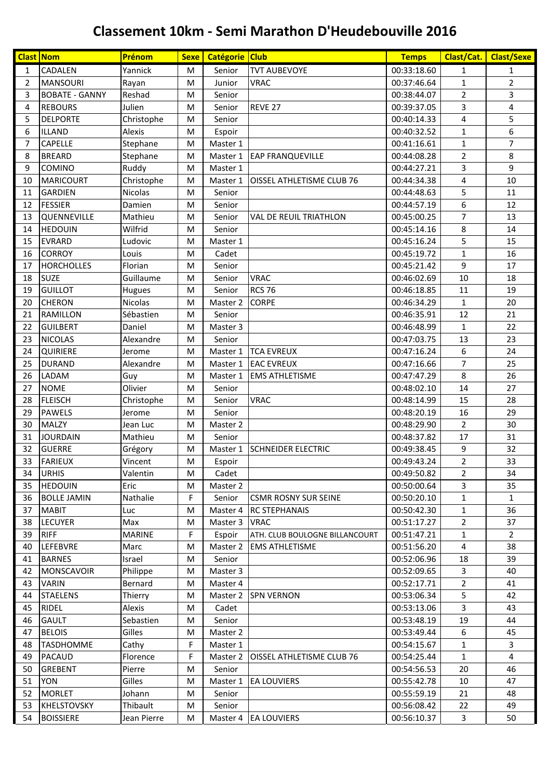# **Classement 10km - Semi Marathon D'Heudebouville 2016**

| <b>Clast Nom</b> |                       | Prénom        | Sexe | Catégorie Club |                                  | <b>Temps</b> | Clast/Cat.     | <b>Clast/Sexe</b> |
|------------------|-----------------------|---------------|------|----------------|----------------------------------|--------------|----------------|-------------------|
| $\mathbf{1}$     | <b>CADALEN</b>        | Yannick       | м    | Senior         | <b>TVT AUBEVOYE</b>              | 00:33:18.60  | $\mathbf{1}$   | $\mathbf{1}$      |
| 2                | <b>MANSOURI</b>       | Rayan         | M    | Junior         | <b>VRAC</b>                      | 00:37:46.64  | $\mathbf{1}$   | $\overline{2}$    |
| 3                | <b>BOBATE - GANNY</b> | Reshad        | M    | Senior         |                                  | 00:38:44.07  | 2              | 3                 |
| 4                | <b>REBOURS</b>        | Julien        | M    | Senior         | REVE 27                          | 00:39:37.05  | 3              | 4                 |
| 5                | <b>DELPORTE</b>       | Christophe    | M    | Senior         |                                  | 00:40:14.33  | 4              | 5                 |
| 6                | ILLAND                | Alexis        | M    | Espoir         |                                  | 00:40:32.52  | $\mathbf{1}$   | 6                 |
| $\overline{7}$   | CAPELLE               | Stephane      | M    | Master 1       |                                  | 00:41:16.61  | $\mathbf{1}$   | $\overline{7}$    |
| 8                | <b>BREARD</b>         | Stephane      | M    | Master 1       | <b>EAP FRANQUEVILLE</b>          | 00:44:08.28  | 2              | 8                 |
| 9                | <b>COMINO</b>         | Ruddy         | M    | Master 1       |                                  | 00:44:27.21  | 3              | 9                 |
| 10               | <b>MARICOURT</b>      | Christophe    | M    | Master 1       | <b>OISSEL ATHLETISME CLUB 76</b> | 00:44:34.38  | 4              | 10                |
| 11               | <b>GARDIEN</b>        | Nicolas       | M    | Senior         |                                  | 00:44:48.63  | 5              | 11                |
| 12               | <b>FESSIER</b>        | Damien        | M    | Senior         |                                  | 00:44:57.19  | 6              | 12                |
| 13               | QUENNEVILLE           | Mathieu       | M    | Senior         | VAL DE REUIL TRIATHLON           | 00:45:00.25  | 7              | 13                |
| 14               | <b>HEDOUIN</b>        | Wilfrid       | M    | Senior         |                                  | 00:45:14.16  | 8              | 14                |
| 15               | <b>EVRARD</b>         | Ludovic       | M    | Master 1       |                                  | 00:45:16.24  | 5              | 15                |
| 16               | <b>CORROY</b>         | Louis         | M    | Cadet          |                                  | 00:45:19.72  | $\mathbf{1}$   | 16                |
| 17               | <b>HORCHOLLES</b>     | Florian       | M    | Senior         |                                  | 00:45:21.42  | 9              | 17                |
| 18               | <b>SUZE</b>           | Guillaume     | M    | Senior         | <b>VRAC</b>                      | 00:46:02.69  | 10             | 18                |
| 19               | <b>GUILLOT</b>        | Hugues        | M    | Senior         | <b>RCS 76</b>                    | 00:46:18.85  | 11             | 19                |
| 20               | <b>CHERON</b>         | Nicolas       | M    | Master 2       | <b>CORPE</b>                     | 00:46:34.29  | 1              | 20                |
| 21               | <b>RAMILLON</b>       | Sébastien     | M    | Senior         |                                  | 00:46:35.91  | 12             | 21                |
| 22               | <b>GUILBERT</b>       | Daniel        | M    | Master 3       |                                  | 00:46:48.99  | 1              | 22                |
| 23               | <b>NICOLAS</b>        | Alexandre     | M    | Senior         |                                  | 00:47:03.75  | 13             | 23                |
| 24               | QUIRIERE              | Jerome        | M    | Master 1       | <b>TCA EVREUX</b>                | 00:47:16.24  | 6              | 24                |
| 25               | <b>DURAND</b>         | Alexandre     | M    | Master 1       | <b>EAC EVREUX</b>                | 00:47:16.66  | 7              | 25                |
| 26               | LADAM                 | Guy           | M    | Master 1       | <b>EMS ATHLETISME</b>            | 00:47:47.29  | 8              | 26                |
| 27               | <b>NOME</b>           | Olivier       | M    | Senior         |                                  | 00:48:02.10  | 14             | 27                |
| 28               | <b>FLEISCH</b>        | Christophe    | M    | Senior         | <b>VRAC</b>                      | 00:48:14.99  | 15             | 28                |
| 29               | <b>PAWELS</b>         | Jerome        | M    | Senior         |                                  | 00:48:20.19  | 16             | 29                |
| 30               | <b>MALZY</b>          | Jean Luc      | M    | Master 2       |                                  | 00:48:29.90  | $\overline{2}$ | 30                |
| 31               | <b>JOURDAIN</b>       | Mathieu       | м    | Senior         |                                  | 00:48:37.82  | 17             | 31                |
| 32               | <b>GUERRE</b>         | Grégory       | M    | Master 1       | <b>SCHNEIDER ELECTRIC</b>        | 00:49:38.45  | 9              | 32                |
| 33               | <b>FARIEUX</b>        | Vincent       | M    | Espoir         |                                  | 00:49:43.24  | $\overline{2}$ | 33                |
| 34               | <b>URHIS</b>          | Valentin      | М    | Cadet          |                                  | 00:49:50.82  | 2              | 34                |
| 35               | <b>HEDOUIN</b>        | Eric          | M    | Master 2       |                                  | 00:50:00.64  | 3              | 35                |
| 36               | <b>BOLLE JAMIN</b>    | Nathalie      | F    | Senior         | <b>CSMR ROSNY SUR SEINE</b>      | 00:50:20.10  | 1              | $\mathbf{1}$      |
| 37               | <b>MABIT</b>          | Luc           | M    | Master 4       | <b>RC STEPHANAIS</b>             | 00:50:42.30  | 1              | 36                |
| 38               | <b>LECUYER</b>        | Max           | M    | Master 3       | <b>VRAC</b>                      | 00:51:17.27  | 2              | 37                |
| 39               | <b>RIFF</b>           | <b>MARINE</b> | F    | Espoir         | ATH. CLUB BOULOGNE BILLANCOURT   | 00:51:47.21  | 1              | $\overline{2}$    |
| 40               | <b>LEFEBVRE</b>       | Marc          | M    | Master 2       | <b>EMS ATHLETISME</b>            | 00:51:56.20  | 4              | 38                |
| 41               | <b>BARNES</b>         | Israel        | M    | Senior         |                                  | 00:52:06.96  | 18             | 39                |
| 42               | <b>MONSCAVOIR</b>     | Philippe      | M    | Master 3       |                                  | 00:52:09.65  | 3              | 40                |
| 43               | <b>VARIN</b>          | Bernard       | M    | Master 4       |                                  | 00:52:17.71  | 2              | 41                |
| 44               | <b>STAELENS</b>       | Thierry       | M    | Master 2       | <b>SPN VERNON</b>                | 00:53:06.34  | 5              | 42                |
| 45               | <b>RIDEL</b>          | Alexis        | М    | Cadet          |                                  | 00:53:13.06  | 3              | 43                |
| 46               | <b>GAULT</b>          | Sebastien     | M    | Senior         |                                  | 00:53:48.19  | 19             | 44                |
| 47               | <b>BELOIS</b>         | Gilles        | M    | Master 2       |                                  | 00:53:49.44  | 6              | 45                |
| 48               | <b>TASDHOMME</b>      | Cathy         | F    | Master 1       |                                  | 00:54:15.67  | 1              | 3                 |
| 49               | <b>PACAUD</b>         | Florence      | F    | Master 2       | <b>OISSEL ATHLETISME CLUB 76</b> | 00:54:25.44  | $\mathbf{1}$   | $\overline{4}$    |
| 50               | <b>GREBENT</b>        | Pierre        | M    | Senior         |                                  | 00:54:56.53  | 20             | 46                |
| 51               | <b>YON</b>            | Gilles        | M    | Master 1       | <b>EA LOUVIERS</b>               | 00:55:42.78  | 10             | 47                |
| 52               | <b>MORLET</b>         | Johann        | M    | Senior         |                                  | 00:55:59.19  | 21             | 48                |
| 53               | <b>KHELSTOVSKY</b>    | Thibault      | M    | Senior         |                                  | 00:56:08.42  | 22             | 49                |
| 54               | <b>BOISSIERE</b>      | Jean Pierre   | M    |                | Master 4 EA LOUVIERS             | 00:56:10.37  | $\mathbf{3}$   | 50                |
|                  |                       |               |      |                |                                  |              |                |                   |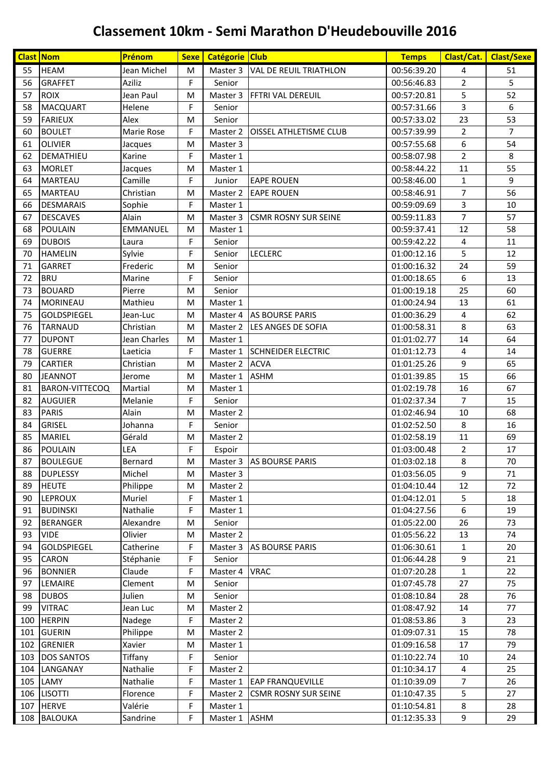# **Classement 10km - Semi Marathon D'Heudebouville 2016**

| <b>Clast Nom</b> |                       | Prénom          | <b>Sexe</b> | Catégorie Club |                               | <b>Temps</b> | Clast/Cat.     | <b>Clast/Sexe</b> |
|------------------|-----------------------|-----------------|-------------|----------------|-------------------------------|--------------|----------------|-------------------|
| 55               | <b>HEAM</b>           | Jean Michel     | M           | Master 3       | <b>VAL DE REUIL TRIATHLON</b> | 00:56:39.20  | 4              | 51                |
| 56               | <b>GRAFFET</b>        | Aziliz          | F           | Senior         |                               | 00:56:46.83  | $\overline{2}$ | 5                 |
| 57               | <b>ROIX</b>           | Jean Paul       | M           | Master 3       | <b>FFTRI VAL DEREUIL</b>      | 00:57:20.81  | 5              | 52                |
| 58               | <b>MACQUART</b>       | Helene          | F           | Senior         |                               | 00:57:31.66  | 3              | 6                 |
| 59               | <b>FARIEUX</b>        | Alex            | M           | Senior         |                               | 00:57:33.02  | 23             | 53                |
| 60               | <b>BOULET</b>         | Marie Rose      | F           | Master 2       | <b>OISSEL ATHLETISME CLUB</b> | 00:57:39.99  | 2              | $\overline{7}$    |
| 61               | OLIVIER               | Jacques         | M           | Master 3       |                               | 00:57:55.68  | 6              | 54                |
| 62               | DEMATHIEU             | Karine          | F           | Master 1       |                               | 00:58:07.98  | $\overline{2}$ | 8                 |
| 63               | <b>MORLET</b>         | Jacques         | M           | Master 1       |                               | 00:58:44.22  | 11             | 55                |
| 64               | <b>MARTEAU</b>        | Camille         | F           | Junior         | <b>EAPE ROUEN</b>             | 00:58:46.00  | $\mathbf{1}$   | 9                 |
| 65               | <b>MARTEAU</b>        | Christian       | M           | Master 2       | <b>EAPE ROUEN</b>             | 00:58:46.91  | 7              | 56                |
| 66               | <b>DESMARAIS</b>      | Sophie          | F           | Master 1       |                               | 00:59:09.69  | 3              | 10                |
| 67               | <b>DESCAVES</b>       | Alain           | M           | Master 3       | <b>CSMR ROSNY SUR SEINE</b>   | 00:59:11.83  | $\overline{7}$ | 57                |
| 68               | <b>POULAIN</b>        | <b>EMMANUEL</b> | м           | Master 1       |                               | 00:59:37.41  | 12             | 58                |
| 69               | <b>DUBOIS</b>         | Laura           | F           | Senior         |                               | 00:59:42.22  | 4              | 11                |
| 70               | <b>HAMELIN</b>        | Sylvie          | F           | Senior         | <b>LECLERC</b>                | 01:00:12.16  | 5              | 12                |
| 71               | <b>GARRET</b>         | Frederic        | M           | Senior         |                               | 01:00:16.32  | 24             | 59                |
| 72               | <b>BRU</b>            | Marine          | F           | Senior         |                               | 01:00:18.65  | 6              | 13                |
| 73               | <b>BOUARD</b>         | Pierre          | м           | Senior         |                               | 01:00:19.18  | 25             | 60                |
| 74               | MORINEAU              | Mathieu         | M           | Master 1       |                               | 01:00:24.94  | 13             | 61                |
| 75               | <b>GOLDSPIEGEL</b>    | Jean-Luc        | M           | Master 4       | <b>AS BOURSE PARIS</b>        | 01:00:36.29  | 4              | 62                |
| 76               | <b>TARNAUD</b>        | Christian       | M           | Master 2       | LES ANGES DE SOFIA            | 01:00:58.31  | 8              | 63                |
| 77               | <b>DUPONT</b>         | Jean Charles    | M           | Master 1       |                               | 01:01:02.77  | 14             | 64                |
| 78               | <b>GUERRE</b>         | Laeticia        | F           | Master 1       | <b>SCHNEIDER ELECTRIC</b>     | 01:01:12.73  | 4              | 14                |
| 79               | <b>CARTIER</b>        | Christian       | M           | Master 2       | <b>ACVA</b>                   | 01:01:25.26  | 9              | 65                |
| 80               | <b>JEANNOT</b>        | Jerome          | M           | Master 1       | <b>ASHM</b>                   | 01:01:39.85  | 15             | 66                |
| 81               | <b>BARON-VITTECOQ</b> | Martial         | M           | Master 1       |                               | 01:02:19.78  | 16             | 67                |
| 82               | <b>AUGUIER</b>        | Melanie         | F           | Senior         |                               | 01:02:37.34  | 7              | 15                |
| 83               | <b>PARIS</b>          | Alain           | M           | Master 2       |                               | 01:02:46.94  | 10             | 68                |
| 84               | <b>GRISEL</b>         | Johanna         | F           | Senior         |                               | 01:02:52.50  | 8              | 16                |
| 85               | MARIEL                | Gérald          | M           | Master 2       |                               | 01:02:58.19  | 11             | 69                |
| 86               | <b>POULAIN</b>        | LEA             | F           | Espoir         |                               | 01:03:00.48  | $\overline{2}$ | 17                |
| 87               | <b>BOULEGUE</b>       | Bernard         | M           |                | Master 3 AS BOURSE PARIS      | 01:03:02.18  | 8              | 70                |
| 88               | <b>DUPLESSY</b>       | Michel          | M           | Master 3       |                               | 01:03:56.05  | 9              | 71                |
| 89               | <b>HEUTE</b>          | Philippe        | M           | Master 2       |                               | 01:04:10.44  | 12             | 72                |
| 90               | <b>LEPROUX</b>        | Muriel          | F           | Master 1       |                               | 01:04:12.01  | 5              | 18                |
| 91               | <b>BUDINSKI</b>       | Nathalie        | F           | Master 1       |                               | 01:04:27.56  | 6              | 19                |
| 92               | <b>BERANGER</b>       | Alexandre       | M           | Senior         |                               | 01:05:22.00  | 26             | 73                |
| 93               | <b>VIDE</b>           | Olivier         | M           | Master 2       |                               | 01:05:56.22  | 13             | 74                |
| 94               | <b>GOLDSPIEGEL</b>    | Catherine       | F           | Master 3       | <b>AS BOURSE PARIS</b>        | 01:06:30.61  | 1              | 20                |
| 95               | <b>CARON</b>          | Stéphanie       | F           | Senior         |                               | 01:06:44.28  | 9              | 21                |
| 96               | <b>BONNIER</b>        | Claude          | F           | Master 4       | <b>VRAC</b>                   | 01:07:20.28  | $\mathbf{1}$   | 22                |
| 97               | LEMAIRE               | Clement         | M           | Senior         |                               | 01:07:45.78  | 27             | 75                |
| 98               | <b>DUBOS</b>          | Julien          | M           | Senior         |                               | 01:08:10.84  | 28             | 76                |
| 99               | <b>VITRAC</b>         | Jean Luc        | M           | Master 2       |                               | 01:08:47.92  | 14             | 77                |
| 100              | <b>HERPIN</b>         | Nadege          | F           | Master 2       |                               | 01:08:53.86  | 3              | 23                |
| 101              | <b>GUERIN</b>         | Philippe        | M           | Master 2       |                               | 01:09:07.31  | 15             | 78                |
| 102              | <b>GRENIER</b>        | Xavier          | M           | Master 1       |                               | 01:09:16.58  | 17             | 79                |
| 103              | <b>DOS SANTOS</b>     | Tiffany         | F           | Senior         |                               | 01:10:22.74  | 10             | 24                |
| 104              | LANGANAY              | Nathalie        | F           | Master 2       |                               | 01:10:34.17  | 4              | 25                |
| 105              | LAMY                  | Nathalie        | F           | Master 1       | <b>EAP FRANQUEVILLE</b>       | 01:10:39.09  | 7              | 26                |
|                  | 106 LISOTTI           | Florence        | F           | Master 2       | <b>CSMR ROSNY SUR SEINE</b>   | 01:10:47.35  | 5              | 27                |
| 107              | <b>HERVE</b>          | Valérie         | F           | Master 1       |                               | 01:10:54.81  | 8              | 28                |
|                  | 108 BALOUKA           | Sandrine        | F           | Master 1       | <b>ASHM</b>                   | 01:12:35.33  | 9              | 29                |